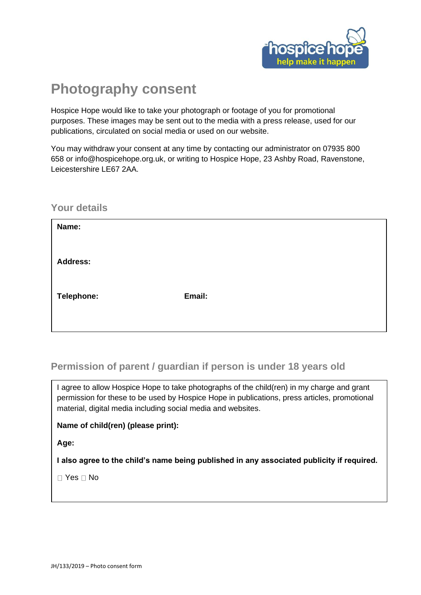

# **Photography consent**

Hospice Hope would like to take your photograph or footage of you for promotional purposes. These images may be sent out to the media with a press release, used for our publications, circulated on social media or used on our website.

You may withdraw your consent at any time by contacting our administrator on 07935 800 658 or info@hospicehope.org.uk, or writing to Hospice Hope, 23 Ashby Road, Ravenstone, Leicestershire LE67 2AA.

#### **Your details**

| Name:           |        |
|-----------------|--------|
| <b>Address:</b> |        |
| Telephone:      | Email: |
|                 |        |

### **Permission of parent / guardian if person is under 18 years old**

I agree to allow Hospice Hope to take photographs of the child(ren) in my charge and grant permission for these to be used by Hospice Hope in publications, press articles, promotional material, digital media including social media and websites.

#### **Name of child(ren) (please print):**

**Age:** 

**I also agree to the child's name being published in any associated publicity if required.**

 $\Box$  Yes  $\Box$  No